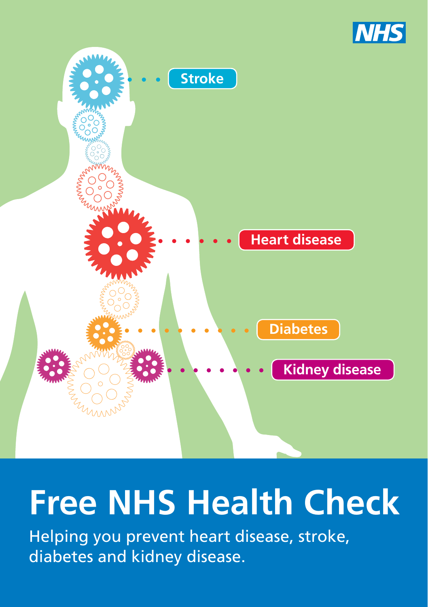



# **Free NHS Health Check**

Helping you prevent heart disease, stroke, diabetes and kidney disease.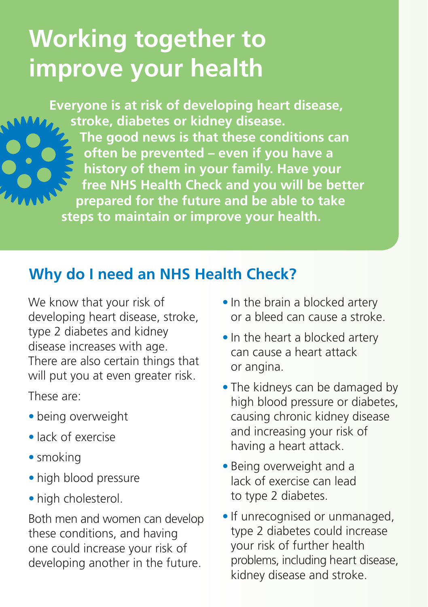# **Working together to improve your health**

**Everyone is at risk of developing heart disease, stroke, diabetes or kidney disease. The good news is that these conditions can often be prevented – even if you have a history of them in your family. Have your free NHS Health Check and you will be better prepared for the future and be able to take steps to maintain or improve your health.** 

### **Why do I need an NHS Health Check?**

We know that your risk of developing heart disease, stroke, type 2 diabetes and kidney disease increases with age. There are also certain things that will put you at even greater risk.

These are:

- being overweight
- lack of exercise
- smoking
- high blood pressure
- high cholesterol.

Both men and women can develop these conditions, and having one could increase your risk of developing another in the future. 

- **•** In the brain a blocked artery or a bleed can cause a stroke.
- **•** In the heart a blocked artery can cause a heart attack or angina.
- The kidneys can be damaged by high blood pressure or diabetes, causing chronic kidney disease and increasing your risk of having a heart attack.
- Being overweight and a lack of exercise can lead to type 2 diabetes.
- **•** If unrecognised or unmanaged, type 2 diabetes could increase your risk of further health problems, including heart disease, kidney disease and stroke.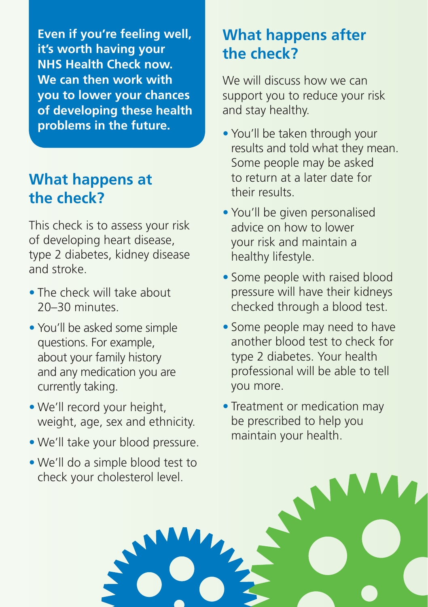**Even if you're feeling well, it's worth having your NHS Health Check now. We can then work with you to lower your chances of developing these health problems in the future.** 

### **What happens at the check?**

This check is to assess your risk of developing heart disease, type 2 diabetes, kidney disease and stroke.

- The check will take about 20–30 minutes.
- You'll be asked some simple questions. For example, about your family history and any medication you are currently taking.
- We'll record your height, weight, age, sex and ethnicity.
- We'll take your blood pressure.
- We'll do a simple blood test to check your cholesterol level.

## **What happens after the check?**

We will discuss how we can support you to reduce your risk and stay healthy.

- You'll be taken through your results and told what they mean. Some people may be asked to return at a later date for their results.
- You'll be given personalised advice on how to lower your risk and maintain a healthy lifestyle.
- Some people with raised blood pressure will have their kidneys checked through a blood test.
- Some people may need to have another blood test to check for type 2 diabetes. Your health professional will be able to tell you more.
- Treatment or medication may be prescribed to help you maintain your health.